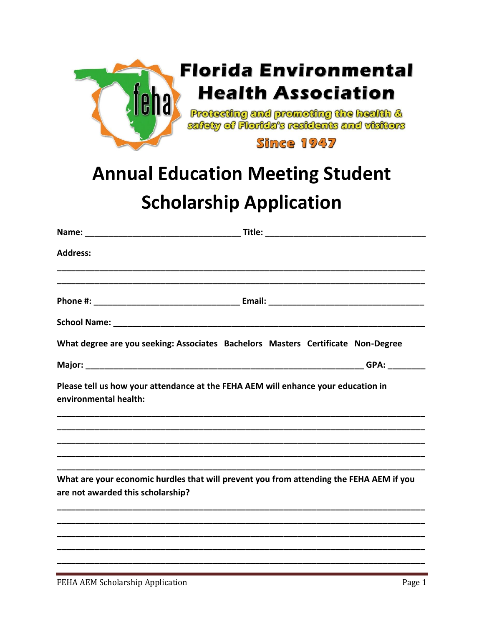

## **Annual Education Meeting Student Scholarship Application**

| <b>Address:</b>                   |                                                                                   |                                                                                         |
|-----------------------------------|-----------------------------------------------------------------------------------|-----------------------------------------------------------------------------------------|
|                                   |                                                                                   |                                                                                         |
|                                   |                                                                                   |                                                                                         |
|                                   |                                                                                   |                                                                                         |
|                                   | What degree are you seeking: Associates Bachelors Masters Certificate Non-Degree  |                                                                                         |
|                                   |                                                                                   |                                                                                         |
| environmental health:             | Please tell us how your attendance at the FEHA AEM will enhance your education in |                                                                                         |
|                                   |                                                                                   |                                                                                         |
|                                   |                                                                                   |                                                                                         |
| are not awarded this scholarship? |                                                                                   | What are your economic hurdles that will prevent you from attending the FEHA AEM if you |
|                                   |                                                                                   |                                                                                         |
|                                   |                                                                                   |                                                                                         |
|                                   |                                                                                   |                                                                                         |
|                                   |                                                                                   |                                                                                         |